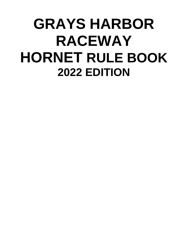# **GRAYS HARBOR RACEWAY HORNET RULE BOOK 2022 EDITION**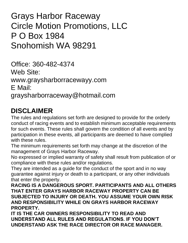Grays Harbor Raceway Circle Motion Promotions, LLC P O Box 1984 Snohomish WA 98291

Office: 360-482-4374 Web Site: [www.graysharborracewayy.com](http://www.graysharborracewayy.com/) E Mail: [graysharborraceway@hotmail.com](mailto:graysharborraceway@hotmail.com)

# **DISCLAIMER**

The rules and regulations set forth are designed to provide for the orderly conduct of racing events and to establish minimum acceptable requirements for such events. These rules shall govern the condition of all events and by participation in these events, all participants are deemed to have complied with these rules.

The minimum requirements set forth may change at the discretion of the management of Grays Harbor Raceway.

No expressed or implied warranty of safety shall result from publication of or compliance with these rules and/or regulations.

They are intended as a guide for the conduct of the sport and in no way guarantee against injury or death to a participant, or any other individuals that enter the property.

**RACING IS A DANGEROUS SPORT. PARTICIPANTS AND ALL OTHERS THAT ENTER GRAYS HARBOR RACEWAY PROPERTY CAN BE SUBJECTED TO INJURY OR DEATH. YOU ASSUME YOUR OWN RISK AND RESPONSIBILITY WHILE ON GRAYS HARBOR RACEWAY PROPERTY.**

**IT IS THE CAR OWNERS RESPONSIBILITY TO READ AND UNDERSTAND ALL RULES AND REGULATIONS. IF YOU DON'T UNDERSTAND ASK THE RACE DIRECTOR OR RACE MANAGER.**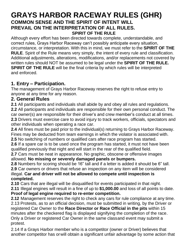# **GRAYS HARBOR RACEWAY RULES (GHR) COMMON SENSE AND THE SPIRIT OF INTENT WILL PREVAIL ON THE INTERPRETATION OF ALL RULES. SPIRIT OF THE RULE**

Although every effort has been directed towards complete, understandable, and correct rules, Grays Harbor Raceway can't possibly anticipate every situation, circumstance, or interpretation. With this in mind, we must refer to the **SPIRIT OF THE RULE**. Spirit of the Rule means very simply, the intent of every rule and classification. Additional adjustments, alterations, modifications, and/or replacements not covered by written rules should NOT be assumed to be legal under the **SPIRIT OF THE RULE. SPIRIT OF THE RULE** will be the final criteria by which rules will be interpreted and enforced.

# **1. Entry – Participation.**

The management of Grays Harbor Raceway reserves the right to refuse entry to anyone at any time for any reason.

# **2. General Rules**

**2.1** All participants and individuals shall abide by and obey all rules and regulations.

**2.2** All participants and individuals are responsible for their own personal conduct. The car owner(s) are responsible for their driver's and crew member's conduct at all times. **2.3** Drivers must exercise care to avoid injury to track workers, officials, spectators and other individuals when operating a race car.

**2.4** All fines must be paid prior to the individual(s) returning to Grays Harbor Raceway. Fines may be deducted from team earnings in which the violator is associated with.

**2.5** No switching of numbers or qualified cars after race program has started.

**2.6** If a spare car is to be used once the program has started, it must not have been qualified previously that night and will start in the rear of the qualified field.

**2.7** Cars must be neat in appearance. No graphic, obscene or offensive images allowed. **No missing or severely damaged panels or bumpers.**

**2.8** Numbers for scoring should be 16" tall and if a letter is added it should be 6" tall.

**2.9** Car owners or drivers that refuse an inspection on any item will be considered illegal. **Car and driver will not be allowed to compete until inspection is completed.**

**2.10** Cars that are illegal will be disqualified for events participated in that night.

**2.11** Illegal engines will result in a fine of up to **\$1,000.00** and loss of all points to date. **Proof of legal engine required to re-enter competition.**

**2.12** Management reserves the right to check any cars for rule compliance at any time. 2.13 Protests, as to an official decision, must be submitted in writing, by the Driver or registered Car Owner to the **Race Director or Race Official in the pits** within 15 minutes after the checkered flag is displayed signifying the completion of the race. Only a Driver or registered Car Owner in the same classand event may submit a protest.

2.14 If a Grays Harbor member who is a competitor (owner or Driver) believes that another competitor has orwill obtain a significant unfair advantage by some action that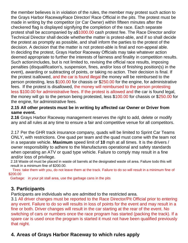the member believes is in violation of the rules, the member may protest such action to the Grays Harbor RacewayRace Director/ Race Official in the pits. The protest must be made in writing by the competitor (or Car Owner) within fifteen minutes after the checkered flag is displayed signifying the completion of the race. Each separate protest shall be accompanied by a\$1000.00 cash protest fee. The Race Director and/or Technical Director shall decide whetherthe matter is protest-able, and if so shall decide the protest as promptly as possible, and shall inform the parties to the protest of the decision. A decision that the matter is not protest-able is final and non-appeal able. In deciding the protest, Grays Harbor Raceway Officials may take whatever action deemed appropriate to further the interests of fairness and finality in competition results. Such actionincludes, but is not limited to, revising the official race results, imposing penalties (disqualification's, suspension, fines, and/or loss of finishing position(s) in the event), awarding or subtracting of points, or taking no action. Their decision is final. If the protest isallowed, and the car is found illegal the money will be reimbursed to the person protesting, less \$100.00 for chassis or \$250.00 for the engine, for administrative fees. If the protest is disallowed, the money will reimbursed to the person protesting less \$100.00 for administrative fees. If the protest is allowed and the car is found legal, the money will go to the person being protested, less \$100.00 for chassis or \$250.00 for the engine, for administrative fees.

#### **2.15 All other protests must be in writing by affected car Owner or Driver from same event.**

**2.16** Grays Harbor Raceway management reserves the right to add, delete or modify any and all rules at any time to ensure a fair and competitive venue for all competitors.

2.17 Per the GHR track insurance company, quads will be limited to Sprint Car Teams ONLY, with restrictions. One quad per team and the quad must come with the team not in a separate vehicle. **Maximum** speed limit of **10** mph at all times. It is the drivers / owner responsibility to adhere to the Manufactures operational and safety standards when operating an ATV or quad type vehicle. Failure to comply may result in a fine and/or loss of privilege.

2.18 Waste oil must be placed in waste oil barrels at the designated waste oil area. Failure todo this will result in a minimum fine of \$200.00.

 Tires: take them with you, do not leave them at the track. Failure to do so will result in a minimum fine of \$200.00

Garbage: in your pit stall area, use the garbage cans in the pits

#### **3. Participants**

Participants are individuals who are admitted to the restricted area.

3.1 All driver changes must be reported to the Race Director/Pit Official prior to entering any event. Failure to do so will results in loss of points for the event and may result in a fine or both. Driver changes will result in the car starting at the rear of the event. No switching of cars or numbers once the race program has started (packing the track). If a spare car is used once the program is started it must not have been qualified previously that night.

# **4. Areas of Grays Harbor Raceway to which rules apply**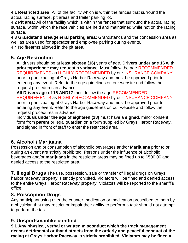**4.1 Restricted area:** All of the facility which is within the fences that surround the actual racing surface, pit areas and trailer parking lot.

4.2 **Pit area:** All of the facility which is within the fences that surround the actual racing surface, within which the race vehicles are held and maintained while not on the racing surface.

**4.3 Grandstand area/general parking area:** Grandstands and the concession area as well as area used for spectator and employee parking during events.

4.4 No firearms allowed in the pit area.

# **5. Age Restriction**

All drivers should be at least **sixteen (16)** years of age. **Drivers under age 16 with priorexperience may request a variance.** Must follow the age RECOMMENDED REQUIREMENTS as HIGHLY RECOMMENDED by our INSURANCE COMPANY prior to participating at Grays Harbor Raceway and must be approved prior to entering any event. Refer to the age guidelines on our website and follow the request procedures in advance.

**All Drivers age of 16 AND17** must follow the age RECOMMENDED REQUIREMENTS as HIGHLY RECOMMENDED by our INSURANCE COMPANY prior to participating at Grays Harbor Raceway and must be approved prior to entering any event. Refer to the age guidelines on our website and follow the request procedures in advance.

Individuals **under the age of eighteen (18)** must have a **signed**, minor consent form from **parent** or legal guardian on a form supplied by Grays Harbor Raceway, and signed in front of staff to enter the restricted area.

# **6. Alcohol / Marijuana**

Possession and or consumption of alcoholic beverages and/or **Marijuana** prior to or during an event are strictly prohibited. Persons under the influence of alcoholic beverages and/or **marijuana** in the restricted areas may be fined up to \$500.00 and denied access to the restricted area.

**7. Illegal Drugs** The use, possession, sale or transfer of illegal drugs on Grays harbor raceway property is strictly prohibited. Violators will be fined and denied access to the entire Grays Harbor Raceway property. Violators will be reported to the sheriff's office.

#### **8. Prescription Drugs**

Any participant using over the counter medication or medication prescribed to them by a physician that may restrict or impair their ability to perform a task should not attempt to perform the task.

# **9. Unsportsmanlike conduct**

**9.1 Any physical, verbal or written misconduct which the track management deems detrimental or that distracts from the orderly and peaceful conduct of the racing at Grays Harbor Raceway is strictly prohibited. Violators may be fined a**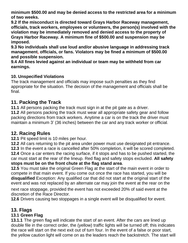**minimum \$500.00 and may be denied access to the restricted area for a minimum of two weeks.**

**9.2 If the misconduct is directed toward Grays Harbor Raceway management, officials, track workers, employees or volunteers, the person(s) involved with the violation may be immediately removed and denied access to the property of Grays Harbor Raceway. A minimum fine of \$500.00 and suspension may be imposed.**

**9.3 No individuals shall use loud and/or abusive language in addressing track management, officials, or fans. Violators may be fined a minimum of \$500.00 and possible suspension.**

**9.4 All fines levied against an individual or team may be withheld from car earnings.**

#### **10. Unspecified Violations**

The track management and officials may impose such penalties as they find appropriate for the situation. The decision of the management and officials shall be final.

### **11. Packing the Track**

**11.1** All persons packing the track must sign in at the pit gate as a driver.

**11.2** All persons packing the track must wear all appropriate safety gear and follow packing directions from track workers. Anytime a car is on the track the driver must maintain a minimum 3' (36 inches) between the car and any track worker or official.

# **12. Racing Rules**

**12.1** Pit speed limit is 10 miles per hour.

**12.2** All cars returning to the pit area under power must use designated pit entrance.

**12.3** In the event a race is cancelled after 50% completion, it will be scored completed. **12.4** Once a car enters the racing surface, if it stops and has to be pushed started, the car must start at the rear of the lineup. Red flag and safety stops excluded. **All safety stops must be on the front chute at the flag stand area**.

**12.5** You must take the original Green Flag at the start of the main event in order to compete in that main event. If you come out once the race has started, you will be **disqualified** Exception: Any qualified car that did not start at the original start of the event and was not replaced by an alternate car may join the event at the rear on the

next race stoppage, provided the event has not exceeded 20% of said event at the discretion of the Race Director.

**12.6** Drivers causing two stoppages in a single event will be disqualified for event.

# **13. Flags**

#### **13.1 Green Flag**

**13.1.1** The green flag will indicate the start of an event. After the cars are lined up double file in the correct order, the (yellow) traffic lights will be turned off; this indicates the race will start on the next exit out of turn four. In the event of a false or poor start, the yellow caution light will come on as the leaders reach the backstretch. The start will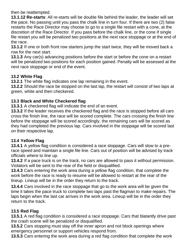then be reattempted.

**13.1.12 Re-starts**: All re-starts will be double file behind the leader, the leader will set the pace. No passing until you pass the chalk line in turn four. If there are two (2) false restarts the Race Director may choose to go to a single file restart with a cone, at the discretion of the Race Director. If you pass before the chalk line, or the cone if single file restart you will be penalized two positions at the next race stoppage or at the end of the race.

**13.1.2** If one or both front row starters jump the start twice, they will be moved back a row for the next start.

**13.1.3** Any car(s) advancing positions before the start or before the cone on a restart will be penalized two positions for each position gained. Penalty will be assessed at the next race stoppage or end of the event.

#### **13.2 White Flag**

**13.2.1** The white flag indicates one lap remaining in the event.

**13.2.2** Should the race be stopped on the last lap, the restart will consist of two laps at green, white and then checkered.

#### **13.3 Black and White Checkered flag**

**13.3.1** A checkered flag will indicate the end of an event.

**13.3.2** If the leader receives the checkered flag and the race is stopped before all cars cross the finish line, the race will be scored complete. The cars crossing the finish line before the stoppage will be scored accordingly, the remaining cars will be scored as they had completed the previous lap. Cars involved in the stoppage will be scored last on their respective lap.

#### **13.4 Yellow Flag**

**13.4.1** A yellow flag condition is considered a race stoppage. Cars will slow to a prerace speed and maintain a single file line. Cars out of position will be advised by track officials where to line up.

**13.4.2** If a pace truck is on the track, no cars are allowed to pass it without permission. Violators will be sent to the rear of the field or disqualified.

**13.4.3** Cars entering the work area during a yellow flag condition, that complete the work before the race is ready to resume will be allowed to restart at the rear of the lineup. Lineup will be in the order they return to the track.

**13.4.4** Cars involved in the race stoppage that go to the work area will be given the time it takes the pace truck to complete two laps past the flagman to make repairs. The laps begin when the last car arrives in the work area. Lineup will be in the order they return to the track.

#### **13.5 Red Flag**

**13.5.1** A red flag condition is considered a race stoppage. Cars that blatantly drive past the crash scene will be penalized or disqualified.

**13.5.2** Cars stopping must stay off the inner apron and not block openings where emergency personnel or support vehicles respond from.

**13.5.3** Cars entering the work area during a red flag condition that complete the work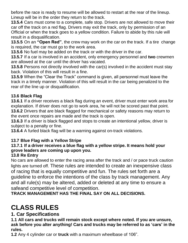before the race is ready to resume will be allowed to restart at the rear of the lineup. Lineup will be in the order they return to the track.

**13.5.4** Cars must come to a complete, safe stop. Drivers are not allowed to move their car off the track on a red flag. Drivers may exit the track, only by permission of an Official or when the track goes to a yellow condition. Failure to abide by this rule will result in a disqualification.

**13.5.5** On an **"Open Red"**, the crew may work on the car on the track. If a tire change is required, the car must go to the work area.

**13.5.6** No fuel may be added on the track or with the driver in the car.

**13.5.7** If a car is involved in an accident, only emergency personnel and **two** crewmen are allowed at the car until the driver has vacated.

**13.5.8** Persons not directly involved with the car(s) involved in the accident must stay back. Violation of this will result in a fine.

**13.5.9** When the "Clear the Track" command is given, all personnel must leave the track in a timely manner. Violation of this will result in the car being penalized to the rear of the line up or disqualification.

#### **13.6 Black Flag**

**13.6.1** If a driver receives a black flag during an event, driver must enter work area for explanation. If driver does not go to work area, he will not be scored past that point. **13.6.2** Drivers that are black flagged for mechanical or safety reasons may return to the event once repairs are made and the track is open.

**13.6.3** If a driver is black flagged and stops to create an intentional yellow, driver is subject to a penalty or fine.

**13.6.4** A furled black flag will be a warning against on-track violations.

#### **13.7 Blue Flag with a Yellow Stripe**

# **13.7.1 If a driver receives a blue flag with a yellow stripe. It means hold your grove leaders are coming up upon you.**

#### **13.8 Re Entry**

No cars are allowed to enter the racing area after the track and / or pace truck caution lights are turned off. These rules are intended to create an inexpensive class of racing that is equally competitive and fun. The rules set forth are a guideline to enforce the intentions of the class by track management. Any and all rule(s) may be altered, added or deleted at any time to ensure a safeand competitive level of competition.

**TRACK MANAGEMENT HAS THE FINAL SAY ON ALL DECISIONS.**

# **CLASS RULES**

# **1. Car Specifications**

**1.1 All cars and trucks will remain stock except where noted. If you are unsure, ask before you alter anything! Cars and trucks may be referred to as 'cars' in the rules.**

**1.2** Any 4 cylinder car or **truck** with a maximum wheelbase of 106".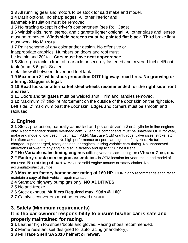**1.3** All running gear and motors to be stock for said make and model.

**1.4** Dash optional, no sharp edges. All other interior and

flammable insulation must be removed.

**1.5** No bracing except in driver's compartment (see Roll Cage).

**1.6** Windshields, horn, stereo, and cigarette lighter optional. All other glass and lenses must be removed. **Windshield screens must be painted flat black. Third** brake light must work. **No Mirrors.**

**1.7** Paint scheme of any color and/or design. No offensive or

inappropriate graphics. Numbers on doors and roof must

be legible and 20" tall. **Cars must have neat appearance.**

**1.8** Stock gas tank in front of rear axle or securely fastened and covered fuel cell/boat tank (max. 6.6 gal). Sealed

metal firewall between driver and fuel tank.

**1.9 Maximum 8" wide stock production DOT highway tread tires. No grooving or altering. Stagger is legal.**

**1.10 Bead locks or aftermarket steel wheels recommended for the right side front and rear.**

**1.11** Doors and **tailgates** must be welded shut. Trim and handles removed.

**1.12** Maximum ½" thick reinforcement on the outside of the door skin on the right side. Left side, 2" maximum past the door skin. Edges and corners must be smooth and radiused.

# **2. Engines**

**2.1** Stock production, naturally aspirated and piston driven. : 3 or 4 cylinder in-line engines only. Recommended: double overhead cam. All engine components must be unaltered OEM for year, make and model of car used, must match V.I.N. Must use OEM crank, rods, valve sizes, stroke, etc. No aftermarket racing heads. No high performance or sport car engines of any kind. No turbo charged, super charged, rotary engines, or engines utilizing variable cam-timing. No unapproved alterations allowed to any engine; disqualification and up to \$250 fine if illegal.

**2.2 No Variable valve timing engines** utilizing variable cam-timing**, no Vtec or Ztec, etc.**

**2.2 Factory stock oem engine assemblies.** in OEM location for year, make and model of car used. **No mixing of parts.** May use solid engine mounts or safety chains. No accumulators/accusumps.

**2.3 Maximum factory horsepower rating of 160 HP.** GHR highly recommends each racer maintain a copy of their vehicle repair manual.

**2.4** Standard highway pump gas only. **NO ADDITIVES**

**2.5** No anti-freeze**.**

- **2.6** Stock exhaust. **Mufflers Required max. 90db @ 100'**
- **2.7** Catalytic converters must be removed ENGINE

# **3. Safety (Minimum requirements)**

# **It is the car owners' responsibility to ensure his/her car is safe and properly maintained for racing.**

**3.1** Leather high top shoes/boots and gloves. Racing shoes recommended.

**3.2** Flame resistant suit designed for auto racing (mandatory).

#### **3.3 Full face Snell SA 2010 helmet or newer.**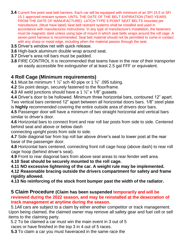- **3.4** Current five point seat belt harness. Each car will be equipped with minimum of an SFI 15.5 or SFI 15.1 approved restraint system. UNTIL THE DATE OF THE BELT EXPIRATION (TWO YEARS FROM THE DATE OF MANUFACTURE). LATCH TYPE 5-POINT SEAT BELTS mounted per manufacture. (Must have label) Seat belt restraint systems shall be installed and used in accordance with manufactures instructions. In any type of manufacture's installation, the fasteners must be magnetic steel unless using type of mount in which seat belts wraps around the roll cage. A seven-point harness is recommended. Seat belt material should not be permitted to come in contact with any sharp or metal edge, including when the material passes through the seat.
- **3.5** Driver's window net with quick release.
- **3.6** High-back aluminum double wrap around seat.
- **3.7** Driver's area roll bars must be padded.
- **3.8** FIRE CONTROL It is recommended that teams have in the rear of their transporter an easily accessible fire extinguisher of at least 2.5 gal FFF or equivalent.

# **4 Roll Cage (Minimum requirements)**

**4.1** Must be minimum 1 ½" sch 40 pipe or 1 ¾" .095 tubing.

**4.2** Six point design, securely fastened to the floor/frame.

**4.3** All weld junctions should have a 1 ½" x 1/8" gussets.

**4.4** Driver's door to be hollowed. Minimum three horizontal bars, contoured 12" apart. Two vertical bars centered 12" apart between all horizontal doors bars. 1/8" steel plate is **highly** recommended covering the entire outside area of drivers door bars.

**4.5** Passenger door will have a minimum of two straight horizontal and vertical bars similar to driver's door.

**4.6** Horizontal bars to connect front and rear roll bar posts from side to side. Centered behind seat and above or below dash

connecting upright posts from side to side.

**4.7** Side diagonal bar from top roll bar above driver's seat to lower post at the rear base of the passenger door.

**4.8** Horizontal bars centered, connecting front roll cage hoop (above dash) to rear roll cage hoop (behind driver's seat).

**4.9** Front to rear diagonal bars from above seat areas to rear fender well area.

**4.10 Seat should be securely mounted to the roll cage.**

**4.11 NO excessive lightening of the car. A weight rule may be implemented.**

**4.12 Reasonable bracing outside the drivers compartment for safety and frame rigidity allowed.**

**4.13 No reinforcing of the stock front bumper past the width of the radiator.**

#### **5 Claim Procedure (Claim has been suspended temporarily and will be reviewed during the 2022 season, and may be reinstalled at the desecration of track management at anytime during the season.**

 5.1All cars are subject to a claim by either another competitor or track management. Upon being claimed, the claimed owner may remove all safety gear and fuel cell or sell items to the claiming party.

5.2 To be claimed a car must win the main event in 3 out of 5 races or have finished in the top 3 in 4 out of 5 races.

**5.3** To claim a car you must haveraced in the same race the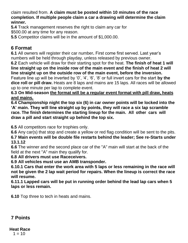claim resulted from. **A claim must be posted within 10 minutes of the race completion. If multiple people claim a car a drawing will determine the claim winner.**

**5.4** Track management reserves the right to claim any car for \$500.00 at any time for any reason.

**5.5** Competitor claims will be in the amount of \$1,000.00.

# **6 Format**

**6.1** All owners will register their car number**.** First come first served. Last year's numbers will be held through playday, unless released by previous owner.

**6.2** Each vehicle will draw for their starting spot for the heat. **The finish of heat 1 will line straight up on the inside row of the main event and the finish of heat 2 will line straight up on the outside row of the main event, before the inversion.**

Feature line up will be inverted by '0', '4', '6', '8' or full invert cars for the start **by the dice roll or pill draw.** Heats are 8 laps and mains are 15 laps. All races will be allowed up to one minute per lap to complete event.

**6.3 On Mid-season the format will be a regular event format with pill draw, heats and mains.**

**6.4 Championship night the top six (6) in car owner points will be locked into the 'A' main. They will line straight up by points, they will race a six lap scramble race. The finish determines the starting lineup for the main. All other cars will draw a pill and start straight up behind the top six.**

**6.5** All competitors race for trophies only.

**6.6** Any car(s) that stop and create a yellow or red flag condition will be sent to the pits. **6.7 Main events will be double file restarts behind the leader; See re-Starts under 13.1.12**

**6.6** The winner and the second place car of the "A" main will start at the back of the field at the next "A" main they qualify for.

#### **6.8 All drivers must use Raceceivers.**

**6.9 All vehicles must use an AMB transponder.**

**6.10.1 Cars that enter the work area with 5 laps or less remaining in the race will not be given the 2 lap wait period for repairs. When the lineup is correct the race will resume.**

**6.11.1 Lapped cars will be put in running order behind the lead lap cars when 5 laps or less remain.**

**6.10** Top three to tech in heats and mains.

# **7 Points**

#### **Heat Race**  $1 = 10$